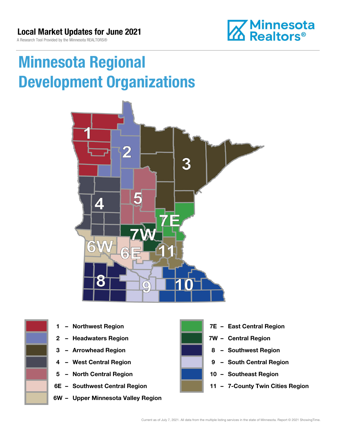A Research Tool Provided by the Minnesota REALTORS®



# Minnesota Regional Development Organizations





- 
- 
- 
- 
- 5 North Central Region 10 Southeast Region
- 
- 6W Upper Minnesota Valley Region



- 1 Northwest Region **1 1999 12 Property Contral Region**
- 2 Headwaters Region **1988 7W Central Region**
- 3 Arrowhead Region **8 Southwest Region**
- 4 West Central Region **19 South Central Region** 
	-
- 6E Southwest Central Region 11 7-County Twin Cities Region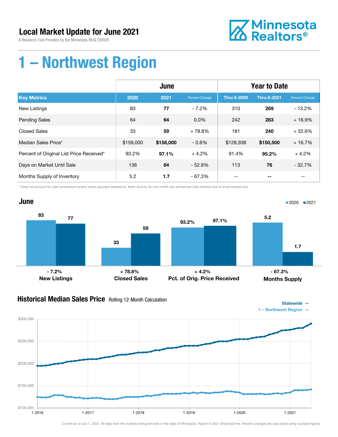A Research Tool Provided by the Minnesota REALTORS®



## 1 – Northwest Region

|                                          | June      |           |                | <b>Year to Date</b> |                    |                |
|------------------------------------------|-----------|-----------|----------------|---------------------|--------------------|----------------|
| <b>Key Metrics</b>                       | 2020      | 2021      | Percent Change | <b>Thru 6-2020</b>  | <b>Thru 6-2021</b> | Percent Change |
| <b>New Listings</b>                      | 83        | 77        | $-7.2%$        | 310                 | 269                | $-13.2%$       |
| <b>Pending Sales</b>                     | 64        | 64        | $0.0\%$        | 242                 | 283                | $+16.9%$       |
| <b>Closed Sales</b>                      | 33        | 59        | $+78.8%$       | 181                 | 240                | $+32.6%$       |
| Median Sales Price*                      | \$159,000 | \$158,000 | $-0.6%$        | \$128,938           | \$150,500          | $+16.7%$       |
| Percent of Original List Price Received* | 93.2%     | 97.1%     | $+4.2%$        | 91.4%               | 95.2%              | $+4.2%$        |
| Days on Market Until Sale                | 136       | 64        | $-52.9%$       | 113                 | 76                 | $-32.7%$       |
| Months Supply of Inventory               | 5.2       | 1.7       | $-67.3%$       | --                  |                    | --             |

\* Does not account for sale concessions and/or down payment assistance. Note: Activity for one month can sometimes look extreme due to small sample size.



#### **Historical Median Sales Price** Rolling 12-Month Calculation



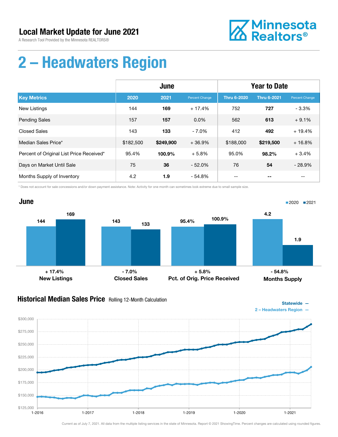A Research Tool Provided by the Minnesota REALTORS®



# 2 – Headwaters Region

|                                          | June      |           |                | <b>Year to Date</b> |                    |                |
|------------------------------------------|-----------|-----------|----------------|---------------------|--------------------|----------------|
| <b>Key Metrics</b>                       | 2020      | 2021      | Percent Change | <b>Thru 6-2020</b>  | <b>Thru 6-2021</b> | Percent Change |
| New Listings                             | 144       | 169       | $+17.4%$       | 752                 | 727                | $-3.3%$        |
| <b>Pending Sales</b>                     | 157       | 157       | $0.0\%$        | 562                 | 613                | $+9.1%$        |
| <b>Closed Sales</b>                      | 143       | 133       | $-7.0%$        | 412                 | 492                | $+19.4%$       |
| Median Sales Price*                      | \$182,500 | \$249,900 | $+36.9%$       | \$188,000           | \$219,500          | $+16.8%$       |
| Percent of Original List Price Received* | 95.4%     | 100.9%    | $+5.8%$        | 95.0%               | 98.2%              | $+3.4%$        |
| Days on Market Until Sale                | 75        | 36        | $-52.0%$       | 76                  | 54                 | $-28.9%$       |
| Months Supply of Inventory               | 4.2       | 1.9       | $-54.8%$       | --                  |                    | --             |

\* Does not account for sale concessions and/or down payment assistance. Note: Activity for one month can sometimes look extreme due to small sample size.



### Historical Median Sales Price Rolling 12-Month Calculation



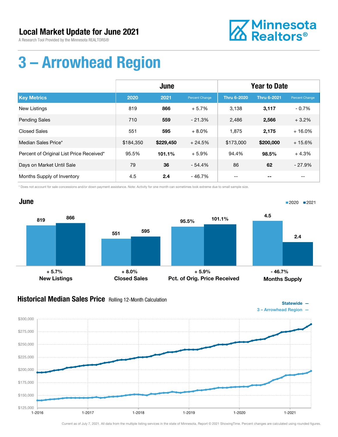A Research Tool Provided by the Minnesota REALTORS®



# 3 – Arrowhead Region

|                                          | June      |           |                | <b>Year to Date</b> |                    |                |
|------------------------------------------|-----------|-----------|----------------|---------------------|--------------------|----------------|
| <b>Key Metrics</b>                       | 2020      | 2021      | Percent Change | <b>Thru 6-2020</b>  | <b>Thru 6-2021</b> | Percent Change |
| New Listings                             | 819       | 866       | $+5.7%$        | 3,138               | 3,117              | $-0.7%$        |
| <b>Pending Sales</b>                     | 710       | 559       | $-21.3%$       | 2,486               | 2,566              | $+3.2%$        |
| <b>Closed Sales</b>                      | 551       | 595       | $+8.0%$        | 1,875               | 2,175              | $+16.0%$       |
| Median Sales Price*                      | \$184,350 | \$229,450 | $+24.5%$       | \$173,000           | \$200,000          | $+15.6%$       |
| Percent of Original List Price Received* | 95.5%     | 101.1%    | $+5.9%$        | 94.4%               | 98.5%              | $+4.3%$        |
| Days on Market Until Sale                | 79        | 36        | $-54.4%$       | 86                  | 62                 | $-27.9%$       |
| Months Supply of Inventory               | 4.5       | 2.4       | $-46.7%$       | --                  |                    | $- -$          |

\* Does not account for sale concessions and/or down payment assistance. Note: Activity for one month can sometimes look extreme due to small sample size.



### Historical Median Sales Price Rolling 12-Month Calculation



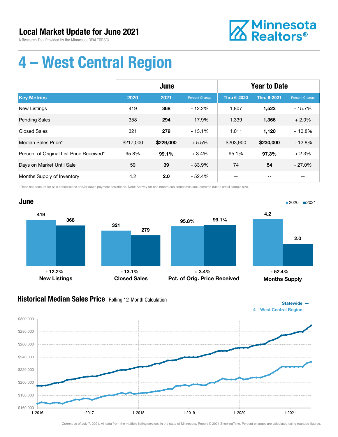A Research Tool Provided by the Minnesota REALTORS®



Statewide —

# 4 – West Central Region

|                                          | June      |           |                | <b>Year to Date</b> |                    |                |
|------------------------------------------|-----------|-----------|----------------|---------------------|--------------------|----------------|
| <b>Key Metrics</b>                       | 2020      | 2021      | Percent Change | <b>Thru 6-2020</b>  | <b>Thru 6-2021</b> | Percent Change |
| <b>New Listings</b>                      | 419       | 368       | $-12.2\%$      | 1,807               | 1,523              | $-15.7%$       |
| <b>Pending Sales</b>                     | 358       | 294       | $-17.9%$       | 1,339               | 1,366              | $+2.0%$        |
| <b>Closed Sales</b>                      | 321       | 279       | $-13.1%$       | 1,011               | 1,120              | $+10.8%$       |
| Median Sales Price*                      | \$217,000 | \$229,000 | $+5.5%$        | \$203,900           | \$230,000          | $+12.8%$       |
| Percent of Original List Price Received* | 95.8%     | 99.1%     | $+3.4%$        | 95.1%               | 97.3%              | $+2.3%$        |
| Days on Market Until Sale                | 59        | 39        | $-33.9%$       | 74                  | 54                 | $-27.0%$       |
| Months Supply of Inventory               | 4.2       | 2.0       | - 52.4%        | --                  |                    | --             |

\* Does not account for sale concessions and/or down payment assistance. Note: Activity for one month can sometimes look extreme due to small sample size.



### Historical Median Sales Price Rolling 12-Month Calculation

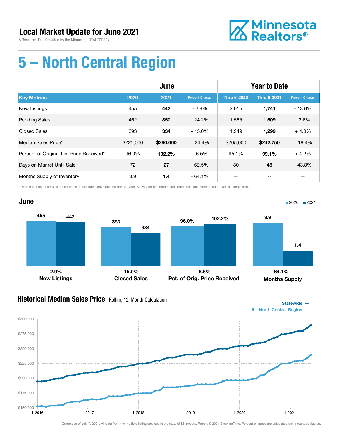A Research Tool Provided by the Minnesota REALTORS®



Statewide —

# 5 – North Central Region

|                                          | June      |           |                | <b>Year to Date</b> |                    |                |
|------------------------------------------|-----------|-----------|----------------|---------------------|--------------------|----------------|
| <b>Key Metrics</b>                       | 2020      | 2021      | Percent Change | <b>Thru 6-2020</b>  | <b>Thru 6-2021</b> | Percent Change |
| <b>New Listings</b>                      | 455       | 442       | $-2.9%$        | 2,015               | 1,741              | $-13.6%$       |
| <b>Pending Sales</b>                     | 462       | 350       | $-24.2%$       | 1,565               | 1,509              | $-3.6%$        |
| <b>Closed Sales</b>                      | 393       | 334       | $-15.0%$       | 1,249               | 1.299              | $+4.0%$        |
| Median Sales Price*                      | \$225,000 | \$280,000 | $+24.4%$       | \$205,000           | \$242,750          | $+18.4%$       |
| Percent of Original List Price Received* | 96.0%     | 102.2%    | $+6.5%$        | 95.1%               | 99.1%              | $+4.2%$        |
| Days on Market Until Sale                | 72        | 27        | $-62.5%$       | 80                  | 45                 | $-43.8%$       |
| Months Supply of Inventory               | 3.9       | 1.4       | $-64.1%$       | --                  |                    | --             |

\* Does not account for sale concessions and/or down payment assistance. Note: Activity for one month can sometimes look extreme due to small sample size.



#### **Historical Median Sales Price** Rolling 12-Month Calculation

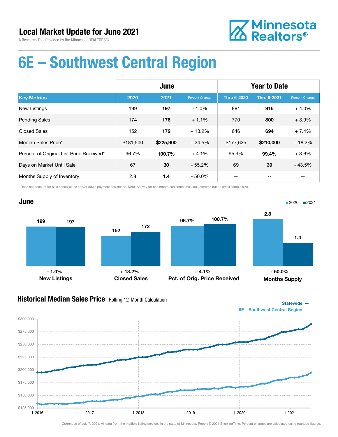A Research Tool Provided by the Minnesota REALTORS®



## 6E – Southwest Central Region

|                                          | June      |           |                | <b>Year to Date</b> |                    |                |
|------------------------------------------|-----------|-----------|----------------|---------------------|--------------------|----------------|
| <b>Key Metrics</b>                       | 2020      | 2021      | Percent Change | <b>Thru 6-2020</b>  | <b>Thru 6-2021</b> | Percent Change |
| <b>New Listings</b>                      | 199       | 197       | $-1.0%$        | 881                 | 916                | $+4.0%$        |
| <b>Pending Sales</b>                     | 174       | 176       | $+1.1%$        | 770                 | 800                | $+3.9%$        |
| <b>Closed Sales</b>                      | 152       | 172       | $+13.2%$       | 646                 | 694                | $+7.4%$        |
| Median Sales Price*                      | \$181,500 | \$225,900 | $+24.5%$       | \$177,625           | \$210,000          | $+18.2%$       |
| Percent of Original List Price Received* | 96.7%     | 100.7%    | $+4.1%$        | 95.9%               | 99.4%              | $+3.6%$        |
| Days on Market Until Sale                | 67        | 30        | $-55.2%$       | 69                  | 39                 | $-43.5%$       |
| Months Supply of Inventory               | 2.8       | 1.4       | $-50.0\%$      | --                  |                    | --             |

\* Does not account for sale concessions and/or down payment assistance. Note: Activity for one month can sometimes look extreme due to small sample size.



#### **Historical Median Sales Price** Rolling 12-Month Calculation



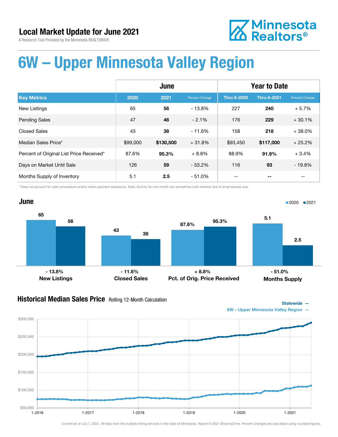**Z** Minnesota<br>**ZA** Realtors<sup>®</sup>

A Research Tool Provided by the Minnesota REALTORS®

# 6W – Upper Minnesota Valley Region

|                                          | June     |           |                | <b>Year to Date</b> |                    |                |
|------------------------------------------|----------|-----------|----------------|---------------------|--------------------|----------------|
| <b>Key Metrics</b>                       | 2020     | 2021      | Percent Change | <b>Thru 6-2020</b>  | <b>Thru 6-2021</b> | Percent Change |
| <b>New Listings</b>                      | 65       | 56        | $-13.8\%$      | 227                 | 240                | $+5.7%$        |
| <b>Pending Sales</b>                     | 47       | 46        | $-2.1%$        | 176                 | 229                | $+30.1%$       |
| <b>Closed Sales</b>                      | 43       | 38        | $-11.6%$       | 158                 | 218                | $+38.0%$       |
| Median Sales Price*                      | \$99,000 | \$130,500 | $+31.8%$       | \$93,450            | \$117,000          | $+25.2%$       |
| Percent of Original List Price Received* | 87.6%    | 95.3%     | $+8.8%$        | 88.9%               | 91.9%              | $+3.4%$        |
| Days on Market Until Sale                | 126      | 59        | $-53.2%$       | 116                 | 93                 | $-19.8%$       |
| Months Supply of Inventory               | 5.1      | 2.5       | $-51.0\%$      |                     |                    |                |

\* Does not account for sale concessions and/or down payment assistance. Note: Activity for one month can sometimes look extreme due to small sample size.



#### **Historical Median Sales Price** Rolling 12-Month Calculation



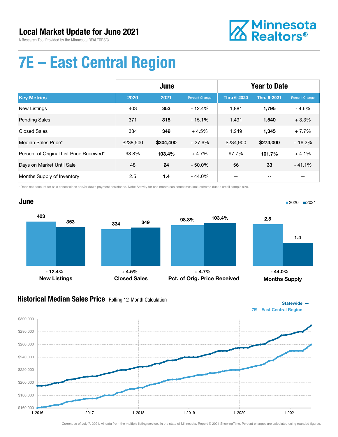A Research Tool Provided by the Minnesota REALTORS®



Statewide —

# 7E – East Central Region

|                                          | June      |           |                | <b>Year to Date</b> |                    |                |
|------------------------------------------|-----------|-----------|----------------|---------------------|--------------------|----------------|
| <b>Key Metrics</b>                       | 2020      | 2021      | Percent Change | <b>Thru 6-2020</b>  | <b>Thru 6-2021</b> | Percent Change |
| <b>New Listings</b>                      | 403       | 353       | $-12.4%$       | 1.881               | 1,795              | $-4.6%$        |
| <b>Pending Sales</b>                     | 371       | 315       | $-15.1%$       | 1,491               | 1,540              | $+3.3%$        |
| <b>Closed Sales</b>                      | 334       | 349       | $+4.5%$        | 1,249               | 1,345              | $+7.7%$        |
| Median Sales Price*                      | \$238,500 | \$304,400 | $+27.6%$       | \$234,900           | \$273,000          | $+16.2%$       |
| Percent of Original List Price Received* | 98.8%     | 103.4%    | $+4.7%$        | 97.7%               | 101.7%             | $+4.1%$        |
| Days on Market Until Sale                | 48        | 24        | $-50.0\%$      | 56                  | 33                 | $-41.1%$       |
| Months Supply of Inventory               | 2.5       | 1.4       | $-44.0%$       | --                  |                    | --             |

\* Does not account for sale concessions and/or down payment assistance. Note: Activity for one month can sometimes look extreme due to small sample size.



#### **Historical Median Sales Price** Rolling 12-Month Calculation

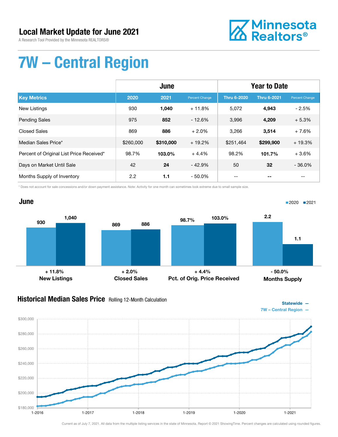A Research Tool Provided by the Minnesota REALTORS®



# 7W – Central Region

|                                          | June      |           |                | <b>Year to Date</b> |                    |                |
|------------------------------------------|-----------|-----------|----------------|---------------------|--------------------|----------------|
| <b>Key Metrics</b>                       | 2020      | 2021      | Percent Change | <b>Thru 6-2020</b>  | <b>Thru 6-2021</b> | Percent Change |
| <b>New Listings</b>                      | 930       | 1.040     | $+11.8%$       | 5.072               | 4,943              | $-2.5%$        |
| <b>Pending Sales</b>                     | 975       | 852       | $-12.6%$       | 3,996               | 4,209              | $+5.3%$        |
| <b>Closed Sales</b>                      | 869       | 886       | $+2.0%$        | 3,266               | 3,514              | $+7.6%$        |
| Median Sales Price*                      | \$260,000 | \$310,000 | $+19.2%$       | \$251,464           | \$299,900          | $+19.3%$       |
| Percent of Original List Price Received* | 98.7%     | 103.0%    | $+4.4%$        | 98.2%               | 101.7%             | $+3.6%$        |
| Days on Market Until Sale                | 42        | 24        | $-42.9%$       | 50                  | 32                 | $-36.0%$       |
| Months Supply of Inventory               | 2.2       | 1.1       | $-50.0\%$      |                     |                    |                |

\* Does not account for sale concessions and/or down payment assistance. Note: Activity for one month can sometimes look extreme due to small sample size.



#### **Historical Median Sales Price** Rolling 12-Month Calculation

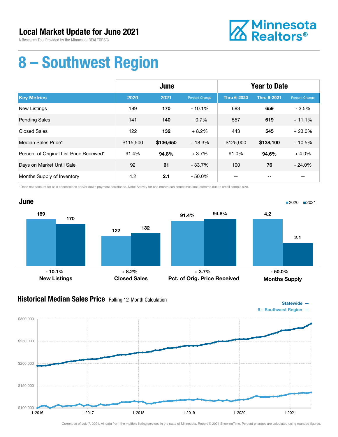A Research Tool Provided by the Minnesota REALTORS®



## 8 – Southwest Region

|                                          | June      |           |                | <b>Year to Date</b> |                    |                |
|------------------------------------------|-----------|-----------|----------------|---------------------|--------------------|----------------|
| <b>Key Metrics</b>                       | 2020      | 2021      | Percent Change | <b>Thru 6-2020</b>  | <b>Thru 6-2021</b> | Percent Change |
| New Listings                             | 189       | 170       | $-10.1%$       | 683                 | 659                | $-3.5%$        |
| <b>Pending Sales</b>                     | 141       | 140       | $-0.7%$        | 557                 | 619                | $+11.1%$       |
| <b>Closed Sales</b>                      | 122       | 132       | $+8.2%$        | 443                 | 545                | $+23.0%$       |
| Median Sales Price*                      | \$115,500 | \$136,650 | $+18.3%$       | \$125,000           | \$138,100          | $+10.5%$       |
| Percent of Original List Price Received* | 91.4%     | 94.8%     | $+3.7%$        | 91.0%               | 94.6%              | $+4.0%$        |
| Days on Market Until Sale                | 92        | 61        | $-33.7%$       | 100                 | 76                 | $-24.0%$       |
| Months Supply of Inventory               | 4.2       | 2.1       | $-50.0\%$      | --                  |                    | $- -$          |

\* Does not account for sale concessions and/or down payment assistance. Note: Activity for one month can sometimes look extreme due to small sample size.



#### **Historical Median Sales Price** Rolling 12-Month Calculation



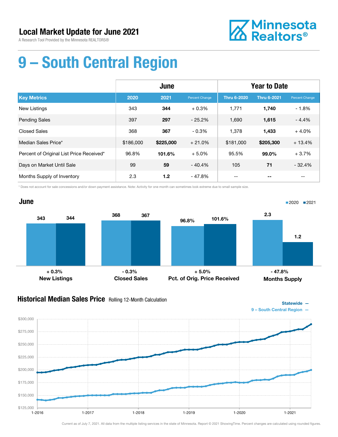A Research Tool Provided by the Minnesota REALTORS®



# 9 – South Central Region

|                                          | June      |           |                | <b>Year to Date</b> |                    |                |
|------------------------------------------|-----------|-----------|----------------|---------------------|--------------------|----------------|
| <b>Key Metrics</b>                       | 2020      | 2021      | Percent Change | <b>Thru 6-2020</b>  | <b>Thru 6-2021</b> | Percent Change |
| New Listings                             | 343       | 344       | $+0.3%$        | 1,771               | 1,740              | $-1.8%$        |
| <b>Pending Sales</b>                     | 397       | 297       | $-25.2%$       | 1,690               | 1,615              | $-4.4%$        |
| <b>Closed Sales</b>                      | 368       | 367       | $-0.3%$        | 1,378               | 1,433              | $+4.0%$        |
| Median Sales Price*                      | \$186,000 | \$225,000 | $+21.0%$       | \$181,000           | \$205,300          | $+13.4%$       |
| Percent of Original List Price Received* | 96.8%     | 101.6%    | $+5.0%$        | 95.5%               | 99.0%              | $+3.7%$        |
| Days on Market Until Sale                | 99        | 59        | $-40.4%$       | 105                 | 71                 | $-32.4%$       |
| Months Supply of Inventory               | 2.3       | 1.2       | - 47.8%        |                     |                    | --             |

\* Does not account for sale concessions and/or down payment assistance. Note: Activity for one month can sometimes look extreme due to small sample size.



### Historical Median Sales Price Rolling 12-Month Calculation

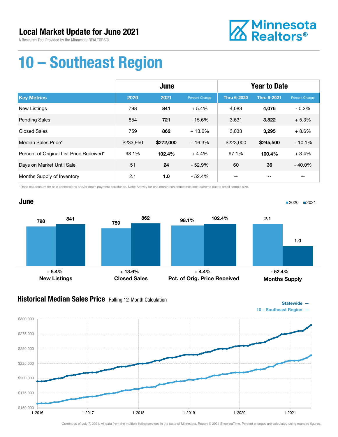A Research Tool Provided by the Minnesota REALTORS®



# 10 – Southeast Region

|                                          | June      |           |                | <b>Year to Date</b> |                    |                |
|------------------------------------------|-----------|-----------|----------------|---------------------|--------------------|----------------|
| <b>Key Metrics</b>                       | 2020      | 2021      | Percent Change | <b>Thru 6-2020</b>  | <b>Thru 6-2021</b> | Percent Change |
| <b>New Listings</b>                      | 798       | 841       | $+5.4%$        | 4.083               | 4,076              | $-0.2%$        |
| <b>Pending Sales</b>                     | 854       | 721       | $-15.6%$       | 3,631               | 3,822              | $+5.3%$        |
| <b>Closed Sales</b>                      | 759       | 862       | $+13.6%$       | 3,033               | 3,295              | $+8.6%$        |
| Median Sales Price*                      | \$233,950 | \$272,000 | $+16.3%$       | \$223,000           | \$245,500          | $+10.1%$       |
| Percent of Original List Price Received* | 98.1%     | 102.4%    | $+4.4%$        | 97.1%               | 100.4%             | $+3.4%$        |
| Days on Market Until Sale                | 51        | 24        | $-52.9%$       | 60                  | 36                 | $-40.0%$       |
| Months Supply of Inventory               | 2.1       | 1.0       | $-52.4%$       |                     |                    |                |

\* Does not account for sale concessions and/or down payment assistance. Note: Activity for one month can sometimes look extreme due to small sample size.

#### June 798 759 841 862 New Listings Closed Sales 98.1% 102.4% Pct. of Orig. Price Received 2.1 1.0 Months Supply ■2020 2021  $+ 5.4\%$  - 52.4% + 13.6% + 4.4% + 4.4% + 55.4%

#### **Historical Median Sales Price** Rolling 12-Month Calculation